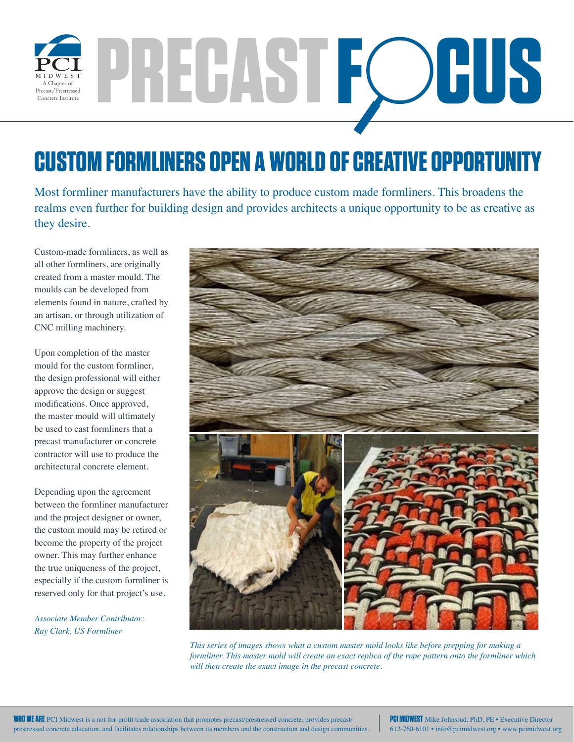

## PRECAST FOUS

## **CUSTOM FORMLINERS OPEN A WORLD OF CREATIVE OPPORTUNITY**

Most formliner manufacturers have the ability to produce custom made formliners. This broadens the realms even further for building design and provides architects a unique opportunity to be as creative as they desire.

Custom-made formliners, as well as all other formliners, are originally created from a master mould. The moulds can be developed from elements found in nature, crafted by an artisan, or through utilization of CNC milling machinery.

Upon completion of the master mould for the custom formliner, the design professional will either approve the design or suggest modifications. Once approved, the master mould will ultimately be used to cast formliners that a precast manufacturer or concrete contractor will use to produce the architectural concrete element.

Depending upon the agreement between the formliner manufacturer and the project designer or owner, the custom mould may be retired or become the property of the project owner. This may further enhance the true uniqueness of the project, especially if the custom formliner is reserved only for that project's use.

*Associate Member Contributor: Ray Clark, US Formliner*



*This series of images shows what a custom master mold looks like before prepping for making a formliner. This master mold will create an exact replica of the rope pattern onto the formliner which will then create the exact image in the precast concrete.*